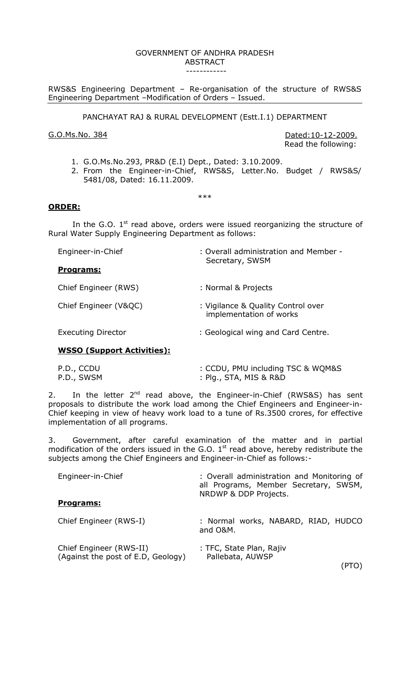# GOVERNMENT OF ANDHRA PRADESH ABSTRACT

------------

RWS&S Engineering Department – Re-organisation of the structure of RWS&S Engineering Department –Modification of Orders – Issued.

PANCHAYAT RAJ & RURAL DEVELOPMENT (Estt.I.1) DEPARTMENT

G.O.Ms.No. 384 Dated:10-12-2009. Read the following:

- 1. G.O.Ms.No.293, PR&D (E.I) Dept., Dated: 3.10.2009.
- 2. From the Engineer-in-Chief, RWS&S, Letter.No. Budget / RWS&S/ 5481/08, Dated: 16.11.2009.

### \*\*\*

## **ORDER:**

In the G.O.  $1<sup>st</sup>$  read above, orders were issued reorganizing the structure of Rural Water Supply Engineering Department as follows:

| Engineer-in-Chief         | : Overall administration and Member -<br>Secretary, SWSM      |
|---------------------------|---------------------------------------------------------------|
| Programs:                 |                                                               |
| Chief Engineer (RWS)      | : Normal & Projects                                           |
| Chief Engineer (V&QC)     | : Vigilance & Quality Control over<br>implementation of works |
| <b>Executing Director</b> | : Geological wing and Card Centre.                            |

# **WSSO (Support Activities):**

| P.D., CCDU | : CCDU, PMU including TSC & WQM&S |
|------------|-----------------------------------|
| P.D., SWSM | :Plg., STA, MIS & R&D             |

2. In the letter  $2^{nd}$  read above, the Engineer-in-Chief (RWS&S) has sent proposals to distribute the work load among the Chief Engineers and Engineer-in-Chief keeping in view of heavy work load to a tune of Rs.3500 crores, for effective implementation of all programs.

3. Government, after careful examination of the matter and in partial modification of the orders issued in the G.O.  $1<sup>st</sup>$  read above, hereby redistribute the subjects among the Chief Engineers and Engineer-in-Chief as follows:-

| Engineer-in-Chief                                             | : Overall administration and Monitoring of<br>all Programs, Member Secretary, SWSM,<br>NRDWP & DDP Projects. |
|---------------------------------------------------------------|--------------------------------------------------------------------------------------------------------------|
| Programs:                                                     |                                                                                                              |
| Chief Engineer (RWS-I)                                        | : Normal works, NABARD, RIAD, HUDCO<br>and O&M.                                                              |
| Chief Engineer (RWS-II)<br>(Against the post of E.D, Geology) | : TFC, State Plan, Rajiv<br>Pallebata, AUWSP                                                                 |